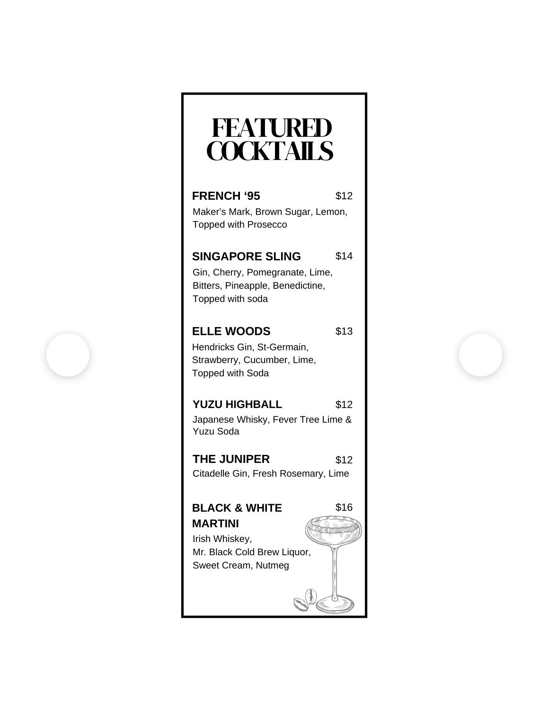## FEATURED **COCKTAILS**

| <b>FRENCH '95</b>                                      | \$12 |
|--------------------------------------------------------|------|
| Maker's Mark, Brown Sugar, Lemon,                      |      |
| <b>Topped with Prosecco</b>                            |      |
|                                                        |      |
| <b>SINGAPORE SLING</b>                                 | \$14 |
| Gin, Cherry, Pomegranate, Lime,                        |      |
| Bitters, Pineapple, Benedictine,                       |      |
| Topped with soda                                       |      |
|                                                        |      |
| <b>ELLE WOODS</b>                                      | \$13 |
| Hendricks Gin, St-Germain,                             |      |
| Strawberry, Cucumber, Lime,                            |      |
| Topped with Soda                                       |      |
|                                                        |      |
| <b>YUZU HIGHBALL</b>                                   | \$12 |
| Japanese Whisky, Fever Tree Lime &<br><b>Yuzu Soda</b> |      |
|                                                        |      |
| <b>THE JUNIPER</b>                                     | \$12 |
| Citadelle Gin, Fresh Rosemary, Lime                    |      |
|                                                        |      |
| <b>BLACK &amp; WHITE</b>                               | \$16 |
| <b>MARTINI</b>                                         |      |
| Irish Whiskey,                                         |      |
| Mr. Black Cold Brew Liquor,                            |      |
| Sweet Cream, Nutmeg                                    |      |
|                                                        |      |
|                                                        |      |
|                                                        |      |

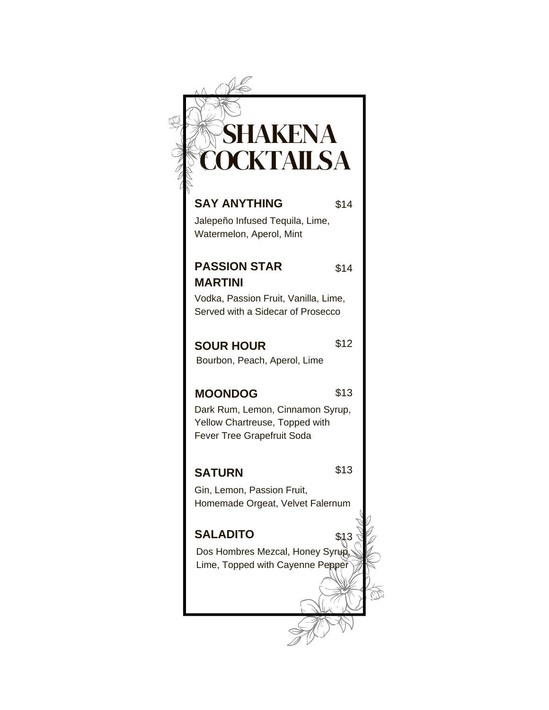| SHAKENA                                                                                          |      |
|--------------------------------------------------------------------------------------------------|------|
| OCKTAILSA                                                                                        |      |
| <b>SAY ANYTHING</b>                                                                              | \$14 |
| Jalepeño Infused Tequila, Lime,<br>Watermelon, Aperol, Mint                                      |      |
| <b>PASSION STAR</b>                                                                              | \$14 |
| <b>MARTINI</b>                                                                                   |      |
| Vodka, Passion Fruit, Vanilla, Lime,                                                             |      |
| Served with a Sidecar of Prosecco                                                                |      |
| <b>SOUR HOUR</b>                                                                                 | \$12 |
| Bourbon, Peach, Aperol, Lime                                                                     |      |
| <b>MOONDOG</b>                                                                                   | \$13 |
| Dark Rum, Lemon, Cinnamon Syrup,<br>Yellow Chartreuse, Topped with<br>Fever Tree Grapefruit Soda |      |
| SATURN                                                                                           | \$13 |
| Gin, Lemon, Passion Fruit,<br>Homemade Orgeat, Velvet Falernum                                   |      |
| <b>SALADITO</b>                                                                                  | \$13 |
| Dos Hombres Mezcal, Honey Syrup,                                                                 |      |
| Lime, Topped with Cayenne Pepper                                                                 |      |
|                                                                                                  |      |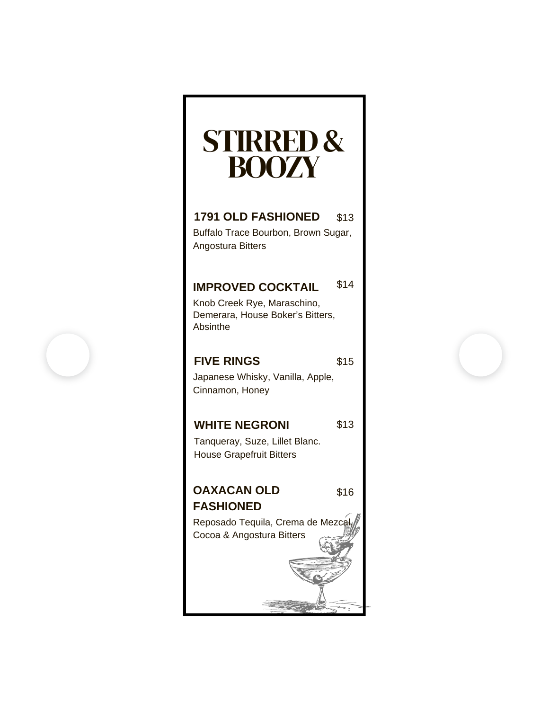# STIRRED& BOOZY

### **1791 OLD FASHIONED** \$13

Buffalo Trace Bourbon, Brown Sugar, Angostura Bitters

### **IMPROVED COCKTAIL** \$14

Knob Creek Rye, Maraschino, Demerara, House Boker's Bitters, Absinthe

### **FIVE RINGS**

\$15

\$16

Japanese Whisky, Vanilla, Apple, Cinnamon, Honey

### **WHITE NEGRONI** \$13

Tanqueray, Suze, Lillet Blanc. House Grapefruit Bitters

### **OAXACAN OLD FASHIONED**

Reposado Tequila, Crema de Mezcal, Cocoa & Angostura Bitters